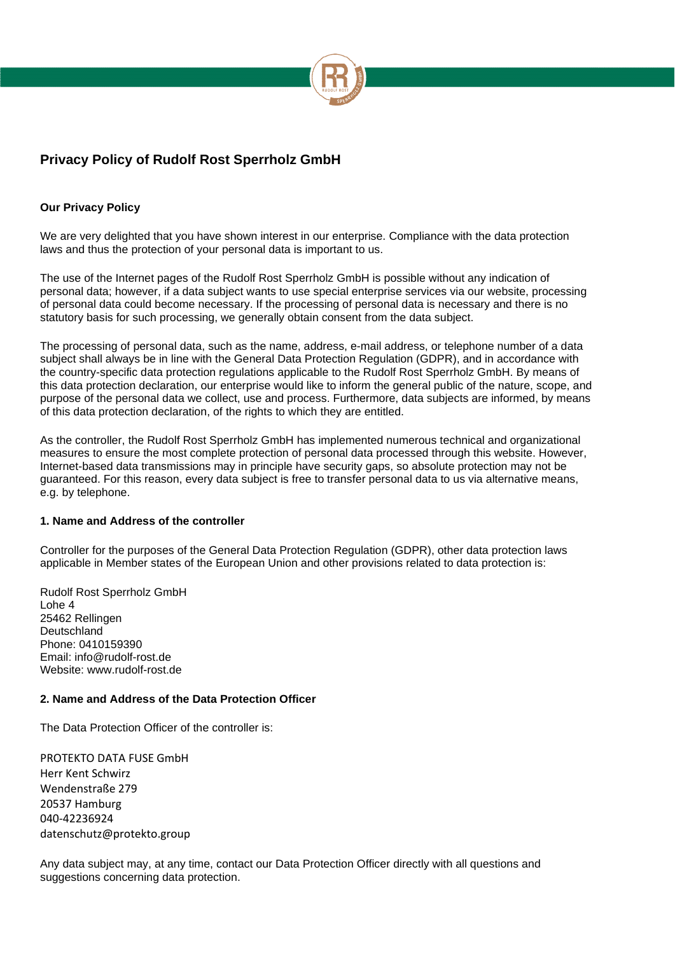

## **Our Privacy Policy**

We are very delighted that you have shown interest in our enterprise. Compliance with the data protection laws and thus the protection of your personal data is important to us.

The use of the Internet pages of the Rudolf Rost Sperrholz GmbH is possible without any indication of personal data; however, if a data subject wants to use special enterprise services via our website, processing of personal data could become necessary. If the processing of personal data is necessary and there is no statutory basis for such processing, we generally obtain consent from the data subject.

The processing of personal data, such as the name, address, e-mail address, or telephone number of a data subject shall always be in line with the General Data Protection Regulation (GDPR), and in accordance with the country-specific data protection regulations applicable to the Rudolf Rost Sperrholz GmbH. By means of this data protection declaration, our enterprise would like to inform the general public of the nature, scope, and purpose of the personal data we collect, use and process. Furthermore, data subjects are informed, by means of this data protection declaration, of the rights to which they are entitled.

As the controller, the Rudolf Rost Sperrholz GmbH has implemented numerous technical and organizational measures to ensure the most complete protection of personal data processed through this website. However, Internet-based data transmissions may in principle have security gaps, so absolute protection may not be guaranteed. For this reason, every data subject is free to transfer personal data to us via alternative means, e.g. by telephone.

### **1. Name and Address of the controller**

Controller for the purposes of the General Data Protection Regulation (GDPR), other data protection laws applicable in Member states of the European Union and other provisions related to data protection is:

Rudolf Rost Sperrholz GmbH Lohe 4 25462 Rellingen Deutschland Phone: 0410159390 Email: info@rudolf-rost.de Website: www.rudolf-rost.de

### **2. Name and Address of the Data Protection Officer**

The Data Protection Officer of the controller is:

PROTEKTO DATA FUSE GmbH Herr Kent Schwirz Wendenstraße 279 20537 Hamburg 040-42236924 [datenschutz@protekto.group](mailto:datenschutz@protekto.group)

Any data subject may, at any time, contact our Data Protection Officer directly with all questions and suggestions concerning data protection.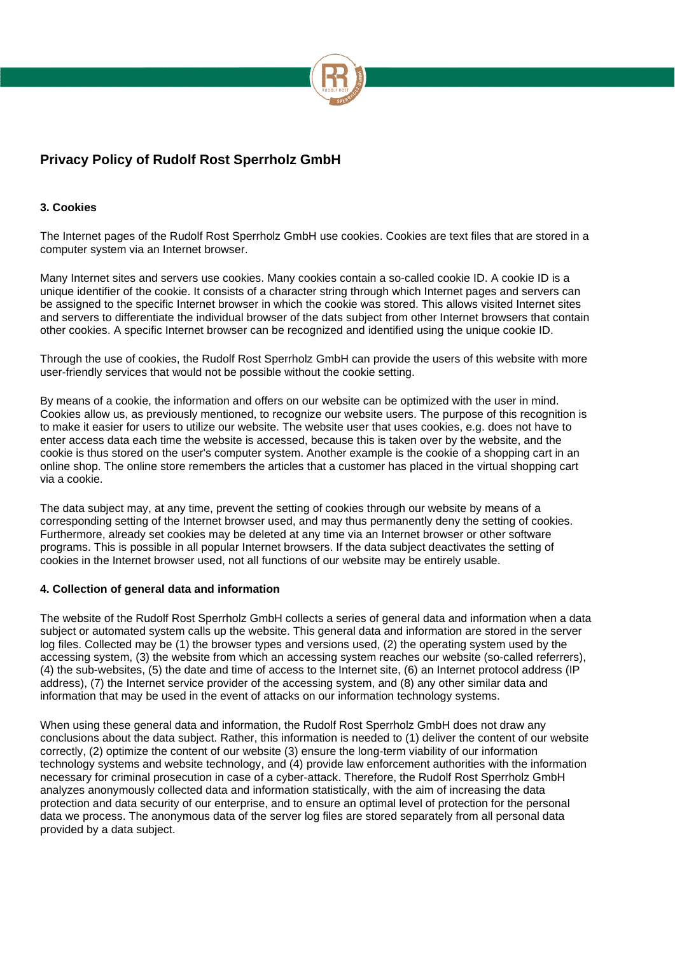

#### **3. Cookies**

The Internet pages of the Rudolf Rost Sperrholz GmbH use cookies. Cookies are text files that are stored in a computer system via an Internet browser.

Many Internet sites and servers use cookies. Many cookies contain a so-called cookie ID. A cookie ID is a unique identifier of the cookie. It consists of a character string through which Internet pages and servers can be assigned to the specific Internet browser in which the cookie was stored. This allows visited Internet sites and servers to differentiate the individual browser of the dats subject from other Internet browsers that contain other cookies. A specific Internet browser can be recognized and identified using the unique cookie ID.

Through the use of cookies, the Rudolf Rost Sperrholz GmbH can provide the users of this website with more user-friendly services that would not be possible without the cookie setting.

By means of a cookie, the information and offers on our website can be optimized with the user in mind. Cookies allow us, as previously mentioned, to recognize our website users. The purpose of this recognition is to make it easier for users to utilize our website. The website user that uses cookies, e.g. does not have to enter access data each time the website is accessed, because this is taken over by the website, and the cookie is thus stored on the user's computer system. Another example is the cookie of a shopping cart in an online shop. The online store remembers the articles that a customer has placed in the virtual shopping cart via a cookie.

The data subject may, at any time, prevent the setting of cookies through our website by means of a corresponding setting of the Internet browser used, and may thus permanently deny the setting of cookies. Furthermore, already set cookies may be deleted at any time via an Internet browser or other software programs. This is possible in all popular Internet browsers. If the data subject deactivates the setting of cookies in the Internet browser used, not all functions of our website may be entirely usable.

#### **4. Collection of general data and information**

The website of the Rudolf Rost Sperrholz GmbH collects a series of general data and information when a data subject or automated system calls up the website. This general data and information are stored in the server log files. Collected may be (1) the browser types and versions used, (2) the operating system used by the accessing system, (3) the website from which an accessing system reaches our website (so-called referrers), (4) the sub-websites, (5) the date and time of access to the Internet site, (6) an Internet protocol address (IP address), (7) the Internet service provider of the accessing system, and (8) any other similar data and information that may be used in the event of attacks on our information technology systems.

When using these general data and information, the Rudolf Rost Sperrholz GmbH does not draw any conclusions about the data subject. Rather, this information is needed to (1) deliver the content of our website correctly, (2) optimize the content of our website (3) ensure the long-term viability of our information technology systems and website technology, and (4) provide law enforcement authorities with the information necessary for criminal prosecution in case of a cyber-attack. Therefore, the Rudolf Rost Sperrholz GmbH analyzes anonymously collected data and information statistically, with the aim of increasing the data protection and data security of our enterprise, and to ensure an optimal level of protection for the personal data we process. The anonymous data of the server log files are stored separately from all personal data provided by a data subject.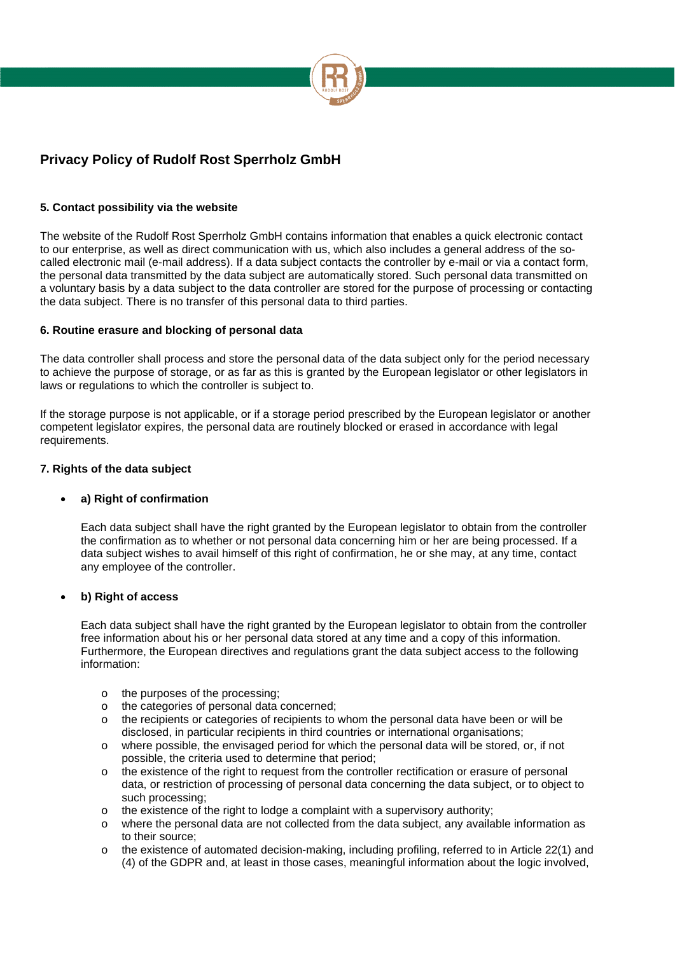

### **5. Contact possibility via the website**

The website of the Rudolf Rost Sperrholz GmbH contains information that enables a quick electronic contact to our enterprise, as well as direct communication with us, which also includes a general address of the socalled electronic mail (e-mail address). If a data subject contacts the controller by e-mail or via a contact form, the personal data transmitted by the data subject are automatically stored. Such personal data transmitted on a voluntary basis by a data subject to the data controller are stored for the purpose of processing or contacting the data subject. There is no transfer of this personal data to third parties.

#### **6. Routine erasure and blocking of personal data**

The data controller shall process and store the personal data of the data subject only for the period necessary to achieve the purpose of storage, or as far as this is granted by the European legislator or other legislators in laws or regulations to which the controller is subject to.

If the storage purpose is not applicable, or if a storage period prescribed by the European legislator or another competent legislator expires, the personal data are routinely blocked or erased in accordance with legal requirements.

#### **7. Rights of the data subject**

### **a) Right of confirmation**

Each data subject shall have the right granted by the European legislator to obtain from the controller the confirmation as to whether or not personal data concerning him or her are being processed. If a data subject wishes to avail himself of this right of confirmation, he or she may, at any time, contact any employee of the controller.

#### **b) Right of access**

Each data subject shall have the right granted by the European legislator to obtain from the controller free information about his or her personal data stored at any time and a copy of this information. Furthermore, the European directives and regulations grant the data subject access to the following information:

- o the purposes of the processing;
- o the categories of personal data concerned;
- o the recipients or categories of recipients to whom the personal data have been or will be disclosed, in particular recipients in third countries or international organisations;
- o where possible, the envisaged period for which the personal data will be stored, or, if not possible, the criteria used to determine that period;
- $\circ$  the existence of the right to request from the controller rectification or erasure of personal data, or restriction of processing of personal data concerning the data subject, or to object to such processing;
- $\circ$  the existence of the right to lodge a complaint with a supervisory authority;
- o where the personal data are not collected from the data subject, any available information as to their source;
- o the existence of automated decision-making, including profiling, referred to in Article 22(1) and (4) of the GDPR and, at least in those cases, meaningful information about the logic involved,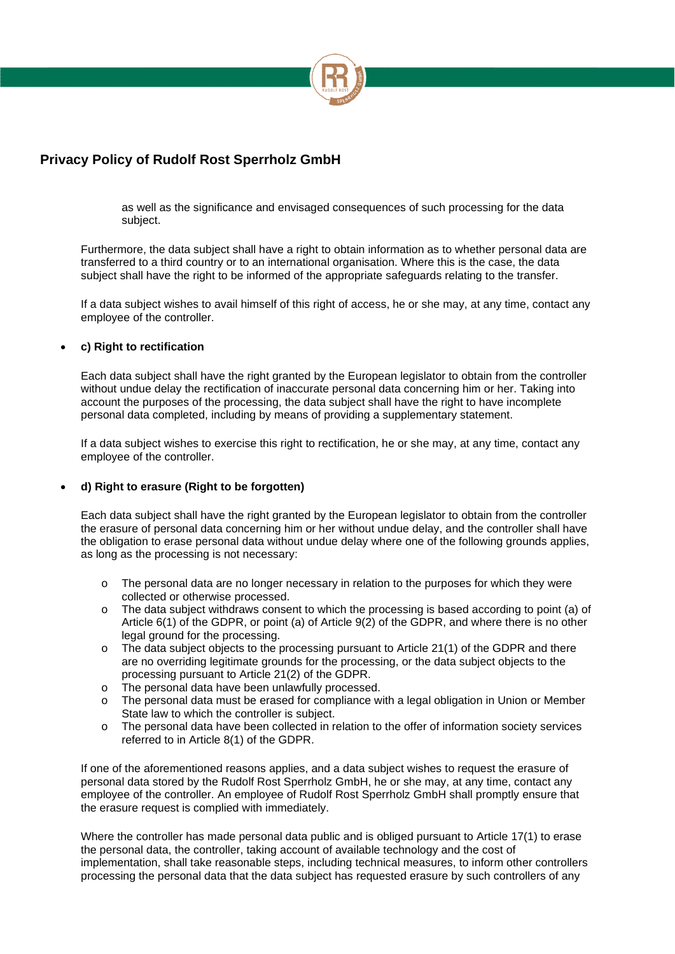

as well as the significance and envisaged consequences of such processing for the data subject.

Furthermore, the data subject shall have a right to obtain information as to whether personal data are transferred to a third country or to an international organisation. Where this is the case, the data subject shall have the right to be informed of the appropriate safeguards relating to the transfer.

If a data subject wishes to avail himself of this right of access, he or she may, at any time, contact any employee of the controller.

#### **c) Right to rectification**

Each data subject shall have the right granted by the European legislator to obtain from the controller without undue delay the rectification of inaccurate personal data concerning him or her. Taking into account the purposes of the processing, the data subject shall have the right to have incomplete personal data completed, including by means of providing a supplementary statement.

If a data subject wishes to exercise this right to rectification, he or she may, at any time, contact any employee of the controller.

#### **d) Right to erasure (Right to be forgotten)**

Each data subject shall have the right granted by the European legislator to obtain from the controller the erasure of personal data concerning him or her without undue delay, and the controller shall have the obligation to erase personal data without undue delay where one of the following grounds applies, as long as the processing is not necessary:

- o The personal data are no longer necessary in relation to the purposes for which they were collected or otherwise processed.
- o The data subject withdraws consent to which the processing is based according to point (a) of Article 6(1) of the GDPR, or point (a) of Article 9(2) of the GDPR, and where there is no other legal ground for the processing.
- $\circ$  The data subject objects to the processing pursuant to Article 21(1) of the GDPR and there are no overriding legitimate grounds for the processing, or the data subject objects to the processing pursuant to Article 21(2) of the GDPR.
- o The personal data have been unlawfully processed.
- o The personal data must be erased for compliance with a legal obligation in Union or Member State law to which the controller is subject.
- o The personal data have been collected in relation to the offer of information society services referred to in Article 8(1) of the GDPR.

If one of the aforementioned reasons applies, and a data subject wishes to request the erasure of personal data stored by the Rudolf Rost Sperrholz GmbH, he or she may, at any time, contact any employee of the controller. An employee of Rudolf Rost Sperrholz GmbH shall promptly ensure that the erasure request is complied with immediately.

Where the controller has made personal data public and is obliged pursuant to Article 17(1) to erase the personal data, the controller, taking account of available technology and the cost of implementation, shall take reasonable steps, including technical measures, to inform other controllers processing the personal data that the data subject has requested erasure by such controllers of any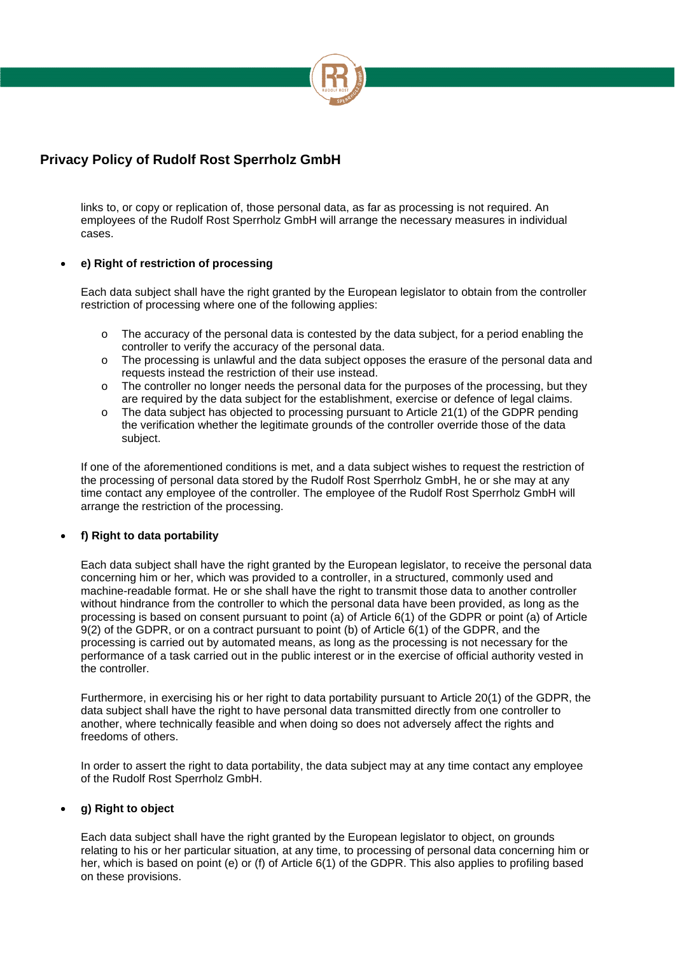

links to, or copy or replication of, those personal data, as far as processing is not required. An employees of the Rudolf Rost Sperrholz GmbH will arrange the necessary measures in individual cases.

### **e) Right of restriction of processing**

Each data subject shall have the right granted by the European legislator to obtain from the controller restriction of processing where one of the following applies:

- $\circ$  The accuracy of the personal data is contested by the data subject, for a period enabling the controller to verify the accuracy of the personal data.
- o The processing is unlawful and the data subject opposes the erasure of the personal data and requests instead the restriction of their use instead.
- $\circ$  The controller no longer needs the personal data for the purposes of the processing, but they are required by the data subject for the establishment, exercise or defence of legal claims.
- o The data subject has objected to processing pursuant to Article 21(1) of the GDPR pending the verification whether the legitimate grounds of the controller override those of the data subject.

If one of the aforementioned conditions is met, and a data subject wishes to request the restriction of the processing of personal data stored by the Rudolf Rost Sperrholz GmbH, he or she may at any time contact any employee of the controller. The employee of the Rudolf Rost Sperrholz GmbH will arrange the restriction of the processing.

### **f) Right to data portability**

Each data subject shall have the right granted by the European legislator, to receive the personal data concerning him or her, which was provided to a controller, in a structured, commonly used and machine-readable format. He or she shall have the right to transmit those data to another controller without hindrance from the controller to which the personal data have been provided, as long as the processing is based on consent pursuant to point (a) of Article 6(1) of the GDPR or point (a) of Article 9(2) of the GDPR, or on a contract pursuant to point (b) of Article 6(1) of the GDPR, and the processing is carried out by automated means, as long as the processing is not necessary for the performance of a task carried out in the public interest or in the exercise of official authority vested in the controller.

Furthermore, in exercising his or her right to data portability pursuant to Article 20(1) of the GDPR, the data subject shall have the right to have personal data transmitted directly from one controller to another, where technically feasible and when doing so does not adversely affect the rights and freedoms of others.

In order to assert the right to data portability, the data subject may at any time contact any employee of the Rudolf Rost Sperrholz GmbH.

### **g) Right to object**

Each data subject shall have the right granted by the European legislator to object, on grounds relating to his or her particular situation, at any time, to processing of personal data concerning him or her, which is based on point (e) or (f) of Article 6(1) of the GDPR. This also applies to profiling based on these provisions.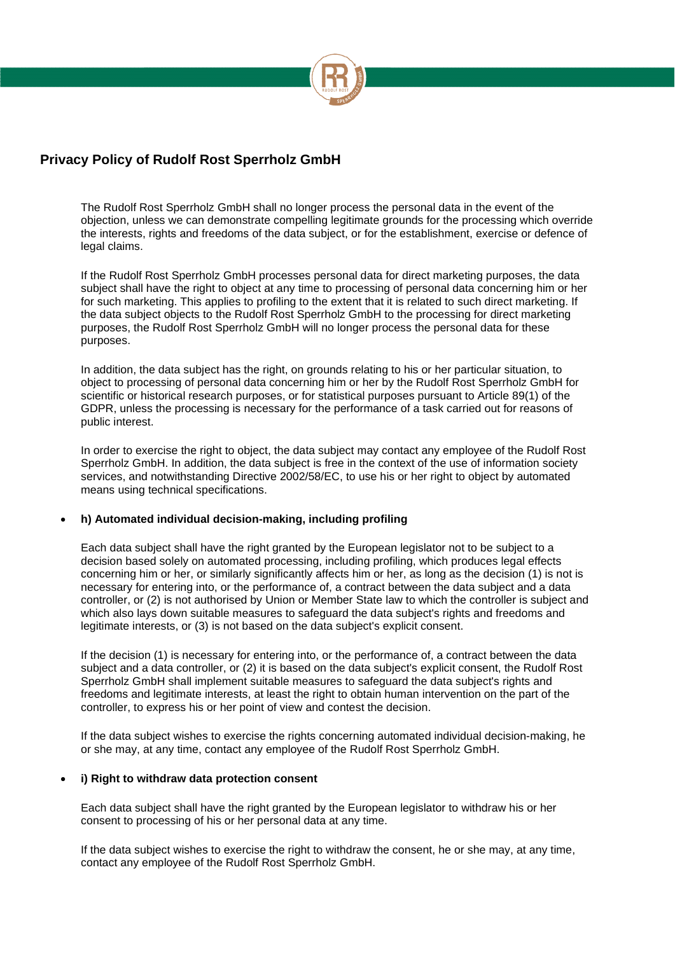

The Rudolf Rost Sperrholz GmbH shall no longer process the personal data in the event of the objection, unless we can demonstrate compelling legitimate grounds for the processing which override the interests, rights and freedoms of the data subject, or for the establishment, exercise or defence of legal claims.

If the Rudolf Rost Sperrholz GmbH processes personal data for direct marketing purposes, the data subject shall have the right to object at any time to processing of personal data concerning him or her for such marketing. This applies to profiling to the extent that it is related to such direct marketing. If the data subject objects to the Rudolf Rost Sperrholz GmbH to the processing for direct marketing purposes, the Rudolf Rost Sperrholz GmbH will no longer process the personal data for these purposes.

In addition, the data subject has the right, on grounds relating to his or her particular situation, to object to processing of personal data concerning him or her by the Rudolf Rost Sperrholz GmbH for scientific or historical research purposes, or for statistical purposes pursuant to Article 89(1) of the GDPR, unless the processing is necessary for the performance of a task carried out for reasons of public interest.

In order to exercise the right to object, the data subject may contact any employee of the Rudolf Rost Sperrholz GmbH. In addition, the data subject is free in the context of the use of information society services, and notwithstanding Directive 2002/58/EC, to use his or her right to object by automated means using technical specifications.

#### **h) Automated individual decision-making, including profiling**

Each data subject shall have the right granted by the European legislator not to be subject to a decision based solely on automated processing, including profiling, which produces legal effects concerning him or her, or similarly significantly affects him or her, as long as the decision (1) is not is necessary for entering into, or the performance of, a contract between the data subject and a data controller, or (2) is not authorised by Union or Member State law to which the controller is subject and which also lays down suitable measures to safeguard the data subject's rights and freedoms and legitimate interests, or (3) is not based on the data subject's explicit consent.

If the decision (1) is necessary for entering into, or the performance of, a contract between the data subject and a data controller, or (2) it is based on the data subject's explicit consent, the Rudolf Rost Sperrholz GmbH shall implement suitable measures to safeguard the data subject's rights and freedoms and legitimate interests, at least the right to obtain human intervention on the part of the controller, to express his or her point of view and contest the decision.

If the data subject wishes to exercise the rights concerning automated individual decision-making, he or she may, at any time, contact any employee of the Rudolf Rost Sperrholz GmbH.

#### **i) Right to withdraw data protection consent**

Each data subject shall have the right granted by the European legislator to withdraw his or her consent to processing of his or her personal data at any time.

If the data subject wishes to exercise the right to withdraw the consent, he or she may, at any time, contact any employee of the Rudolf Rost Sperrholz GmbH.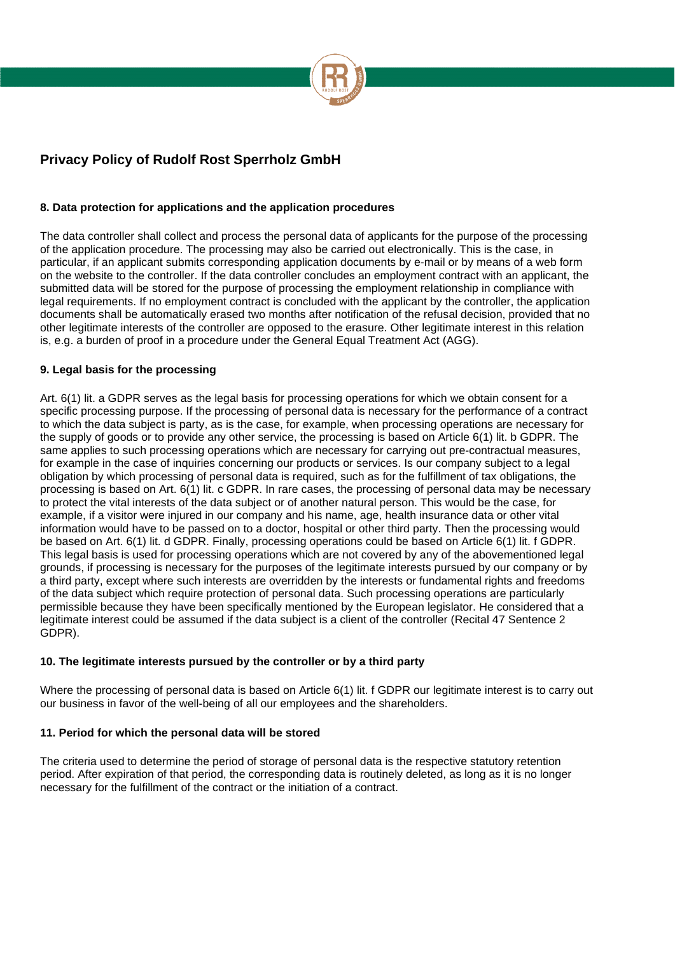

## **8. Data protection for applications and the application procedures**

The data controller shall collect and process the personal data of applicants for the purpose of the processing of the application procedure. The processing may also be carried out electronically. This is the case, in particular, if an applicant submits corresponding application documents by e-mail or by means of a web form on the website to the controller. If the data controller concludes an employment contract with an applicant, the submitted data will be stored for the purpose of processing the employment relationship in compliance with legal requirements. If no employment contract is concluded with the applicant by the controller, the application documents shall be automatically erased two months after notification of the refusal decision, provided that no other legitimate interests of the controller are opposed to the erasure. Other legitimate interest in this relation is, e.g. a burden of proof in a procedure under the General Equal Treatment Act (AGG).

### **9. Legal basis for the processing**

Art. 6(1) lit. a GDPR serves as the legal basis for processing operations for which we obtain consent for a specific processing purpose. If the processing of personal data is necessary for the performance of a contract to which the data subject is party, as is the case, for example, when processing operations are necessary for the supply of goods or to provide any other service, the processing is based on Article 6(1) lit. b GDPR. The same applies to such processing operations which are necessary for carrying out pre-contractual measures, for example in the case of inquiries concerning our products or services. Is our company subject to a legal obligation by which processing of personal data is required, such as for the fulfillment of tax obligations, the processing is based on Art. 6(1) lit. c GDPR. In rare cases, the processing of personal data may be necessary to protect the vital interests of the data subject or of another natural person. This would be the case, for example, if a visitor were injured in our company and his name, age, health insurance data or other vital information would have to be passed on to a doctor, hospital or other third party. Then the processing would be based on Art. 6(1) lit. d GDPR. Finally, processing operations could be based on Article 6(1) lit. f GDPR. This legal basis is used for processing operations which are not covered by any of the abovementioned legal grounds, if processing is necessary for the purposes of the legitimate interests pursued by our company or by a third party, except where such interests are overridden by the interests or fundamental rights and freedoms of the data subject which require protection of personal data. Such processing operations are particularly permissible because they have been specifically mentioned by the European legislator. He considered that a legitimate interest could be assumed if the data subject is a client of the controller (Recital 47 Sentence 2 GDPR).

### **10. The legitimate interests pursued by the controller or by a third party**

Where the processing of personal data is based on Article 6(1) lit. f GDPR our legitimate interest is to carry out our business in favor of the well-being of all our employees and the shareholders.

### **11. Period for which the personal data will be stored**

The criteria used to determine the period of storage of personal data is the respective statutory retention period. After expiration of that period, the corresponding data is routinely deleted, as long as it is no longer necessary for the fulfillment of the contract or the initiation of a contract.